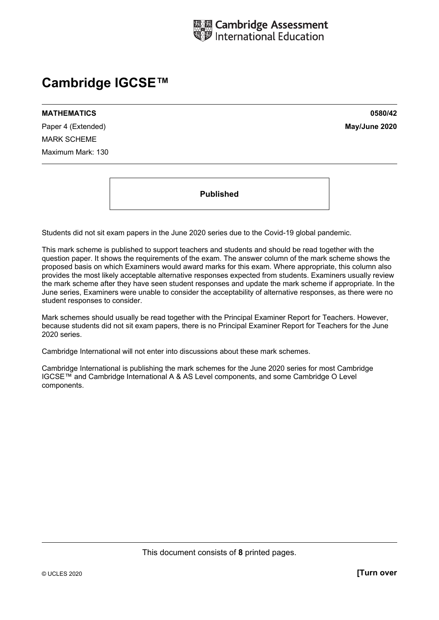

# **Cambridge IGCSE™**

**MATHEMATICS 0580/42** 

Paper 4 (Extended) **May/June 2020** MARK SCHEME Maximum Mark: 130

**Published** 

Students did not sit exam papers in the June 2020 series due to the Covid-19 global pandemic.

This mark scheme is published to support teachers and students and should be read together with the question paper. It shows the requirements of the exam. The answer column of the mark scheme shows the proposed basis on which Examiners would award marks for this exam. Where appropriate, this column also provides the most likely acceptable alternative responses expected from students. Examiners usually review the mark scheme after they have seen student responses and update the mark scheme if appropriate. In the June series, Examiners were unable to consider the acceptability of alternative responses, as there were no student responses to consider.

Mark schemes should usually be read together with the Principal Examiner Report for Teachers. However, because students did not sit exam papers, there is no Principal Examiner Report for Teachers for the June 2020 series.

Cambridge International will not enter into discussions about these mark schemes.

Cambridge International is publishing the mark schemes for the June 2020 series for most Cambridge IGCSE™ and Cambridge International A & AS Level components, and some Cambridge O Level components.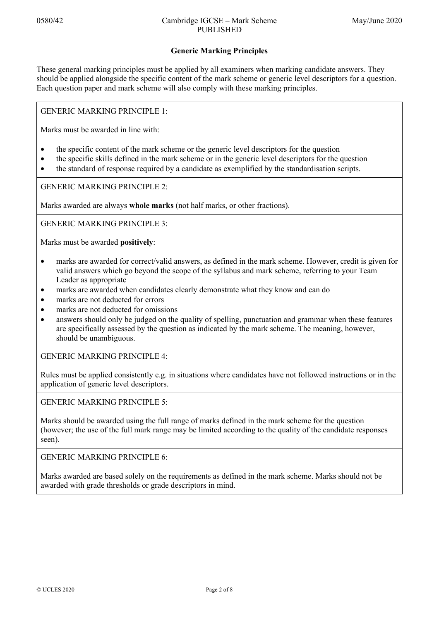## **Generic Marking Principles**

These general marking principles must be applied by all examiners when marking candidate answers. They should be applied alongside the specific content of the mark scheme or generic level descriptors for a question. Each question paper and mark scheme will also comply with these marking principles.

GENERIC MARKING PRINCIPLE 1:

Marks must be awarded in line with:

- the specific content of the mark scheme or the generic level descriptors for the question
- the specific skills defined in the mark scheme or in the generic level descriptors for the question
- the standard of response required by a candidate as exemplified by the standardisation scripts.

GENERIC MARKING PRINCIPLE 2:

Marks awarded are always **whole marks** (not half marks, or other fractions).

GENERIC MARKING PRINCIPLE 3:

Marks must be awarded **positively**:

- marks are awarded for correct/valid answers, as defined in the mark scheme. However, credit is given for valid answers which go beyond the scope of the syllabus and mark scheme, referring to your Team Leader as appropriate
- marks are awarded when candidates clearly demonstrate what they know and can do
- marks are not deducted for errors
- marks are not deducted for omissions
- answers should only be judged on the quality of spelling, punctuation and grammar when these features are specifically assessed by the question as indicated by the mark scheme. The meaning, however, should be unambiguous.

GENERIC MARKING PRINCIPLE 4:

Rules must be applied consistently e.g. in situations where candidates have not followed instructions or in the application of generic level descriptors.

GENERIC MARKING PRINCIPLE 5:

Marks should be awarded using the full range of marks defined in the mark scheme for the question (however; the use of the full mark range may be limited according to the quality of the candidate responses seen).

GENERIC MARKING PRINCIPLE 6:

Marks awarded are based solely on the requirements as defined in the mark scheme. Marks should not be awarded with grade thresholds or grade descriptors in mind.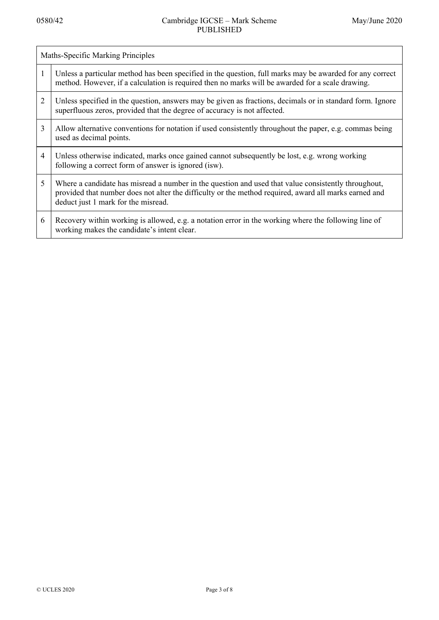| Maths-Specific Marking Principles |                                                                                                                                                                                                                                                     |  |  |
|-----------------------------------|-----------------------------------------------------------------------------------------------------------------------------------------------------------------------------------------------------------------------------------------------------|--|--|
| 1                                 | Unless a particular method has been specified in the question, full marks may be awarded for any correct<br>method. However, if a calculation is required then no marks will be awarded for a scale drawing.                                        |  |  |
| $\overline{2}$                    | Unless specified in the question, answers may be given as fractions, decimals or in standard form. Ignore<br>superfluous zeros, provided that the degree of accuracy is not affected.                                                               |  |  |
| 3                                 | Allow alternative conventions for notation if used consistently throughout the paper, e.g. commas being<br>used as decimal points.                                                                                                                  |  |  |
| 4                                 | Unless otherwise indicated, marks once gained cannot subsequently be lost, e.g. wrong working<br>following a correct form of answer is ignored (isw).                                                                                               |  |  |
| 5                                 | Where a candidate has misread a number in the question and used that value consistently throughout,<br>provided that number does not alter the difficulty or the method required, award all marks earned and<br>deduct just 1 mark for the misread. |  |  |
| 6                                 | Recovery within working is allowed, e.g. a notation error in the working where the following line of<br>working makes the candidate's intent clear.                                                                                                 |  |  |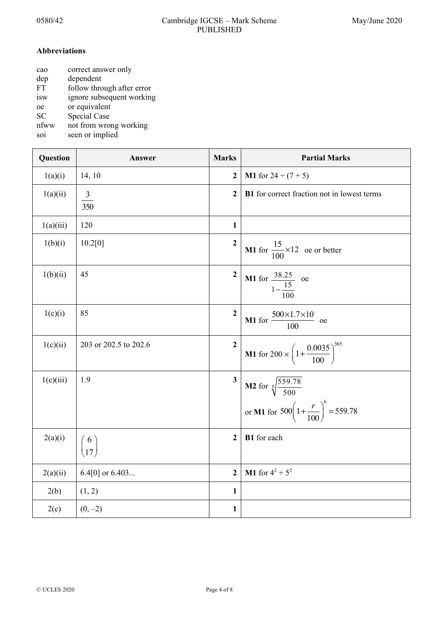## **Abbreviations**

| cao       | correct answer only        |
|-----------|----------------------------|
| dep       | dependent                  |
| FT        | follow through after error |
| isw       | ignore subsequent working  |
| oe        | or equivalent              |
| <b>SC</b> | Special Case               |
| nfww      | not from wrong working     |
|           | $\cdots$                   |

soi seen or implied

| Question  | Answer                | <b>Marks</b>            | <b>Partial Marks</b>                                                                                          |
|-----------|-----------------------|-------------------------|---------------------------------------------------------------------------------------------------------------|
| 1(a)(i)   | 14, 10                | $\mathbf{2}$            | <b>M1</b> for $24 \div (7 + 5)$                                                                               |
| 1(a)(ii)  | $\frac{3}{350}$       | $\overline{2}$          | <b>B1</b> for correct fraction not in lowest terms                                                            |
| 1(a)(iii) | 120                   | 1                       |                                                                                                               |
| 1(b)(i)   | 10.2[0]               | $\mathbf{2}$            | <b>M1</b> for $\frac{15}{100} \times 12$ oe or better                                                         |
| 1(b)(ii)  | 45                    | $\mathbf{2}$            | <b>M1</b> for $\frac{38.25}{1 - \frac{15}{100}}$ oe                                                           |
| 1(c)(i)   | 85                    | $\overline{2}$          | <b>M1</b> for $\frac{500 \times 1.7 \times 10}{100}$ oe                                                       |
| 1(c)(ii)  | 203 or 202.5 to 202.6 | $\overline{2}$          | <b>M1</b> for $200 \times \left(1 + \frac{0.0035}{100}\right)^{365}$                                          |
| 1(c)(iii) | 1.9                   | $\overline{\mathbf{3}}$ | <b>M2</b> for $\sqrt[6]{\frac{559.78}{500}}$<br>or <b>M1</b> for $500\left(1+\frac{r}{100}\right)^6 = 559.78$ |
| 2(a)(i)   | $\binom{6}{17}$       | $\overline{2}$          | B1 for each                                                                                                   |
| 2(a)(ii)  | 6.4[0] or $6.403$     | $\mathbf{2}$            | <b>M1</b> for $4^2 + 5^2$                                                                                     |
| 2(b)      | (1, 2)                | $\mathbf{1}$            |                                                                                                               |
| 2(c)      | $(0, -2)$             | $\mathbf{1}$            |                                                                                                               |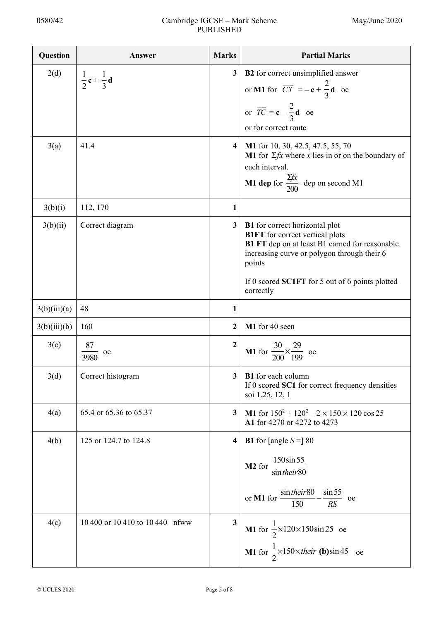| Question     | Answer                                          | <b>Marks</b>            | <b>Partial Marks</b>                                                                                                                                                                       |
|--------------|-------------------------------------------------|-------------------------|--------------------------------------------------------------------------------------------------------------------------------------------------------------------------------------------|
| 2(d)         | $\frac{1}{2}$ <b>c</b> + $\frac{1}{3}$ <b>d</b> | $\mathbf{3}$            | <b>B2</b> for correct unsimplified answer                                                                                                                                                  |
|              |                                                 |                         | or <b>M1</b> for $\overrightarrow{CT} = -c + \frac{2}{3}d$ oe                                                                                                                              |
|              |                                                 |                         | or $\overrightarrow{TC} = \mathbf{c} - \frac{2}{3} \mathbf{d}$ oe                                                                                                                          |
|              |                                                 |                         | or for correct route                                                                                                                                                                       |
| 3(a)         | 41.4                                            | 4                       | M1 for 10, 30, 42.5, 47.5, 55, 70<br><b>M1</b> for $\Sigma f x$ where x lies in or on the boundary of<br>each interval.<br><b>M1 dep</b> for $\frac{\Sigma fx}{200}$ dep on second M1      |
|              |                                                 |                         |                                                                                                                                                                                            |
| 3(b)(i)      | 112, 170                                        | 1                       |                                                                                                                                                                                            |
| 3(b)(ii)     | Correct diagram                                 | $\mathbf{3}$            | <b>B1</b> for correct horizontal plot<br><b>B1FT</b> for correct vertical plots<br>B1 FT dep on at least B1 earned for reasonable<br>increasing curve or polygon through their 6<br>points |
|              |                                                 |                         | If 0 scored SC1FT for 5 out of 6 points plotted<br>correctly                                                                                                                               |
| 3(b)(iii)(a) | 48                                              | 1                       |                                                                                                                                                                                            |
| 3(b)(iii)(b) | 160                                             | $\mathbf{2}$            | M1 for 40 seen                                                                                                                                                                             |
| 3(c)         | 87<br>$\frac{1}{2}$ oe<br>3980                  | $\mathbf{2}$            | <b>M1</b> for $\frac{30}{200} \times \frac{29}{199}$ oe                                                                                                                                    |
| 3(d)         | Correct histogram                               | 3 <sup>1</sup>          | <b>B1</b> for each column<br>If 0 scored SC1 for correct frequency densities<br>soi 1.25, 12, 1                                                                                            |
| 4(a)         | 65.4 or 65.36 to 65.37                          | $\mathbf{3}$            | M1 for $150^2 + 120^2 - 2 \times 150 \times 120 \cos 25$<br>A1 for 4270 or 4272 to 4273                                                                                                    |
| 4(b)         | 125 or 124.7 to 124.8                           | 4                       | <b>B1</b> for [angle $S =$ ] 80                                                                                                                                                            |
|              |                                                 |                         | 150sin55<br>M <sub>2</sub> for<br>sintheir <sub>80</sub>                                                                                                                                   |
|              |                                                 |                         | $\frac{\sin their80}{150} = \frac{\sin 55}{RS}$ oe<br>or M1 for                                                                                                                            |
| 4(c)         | 10 400 or 10 410 to 10 440 nfww                 | $\overline{\mathbf{3}}$ | <b>M1</b> for $\frac{1}{2}$ ×120×150sin 25 oe<br>M1 for $\frac{1}{2}$ ×150×their (b)sin 45 oe                                                                                              |
|              |                                                 |                         |                                                                                                                                                                                            |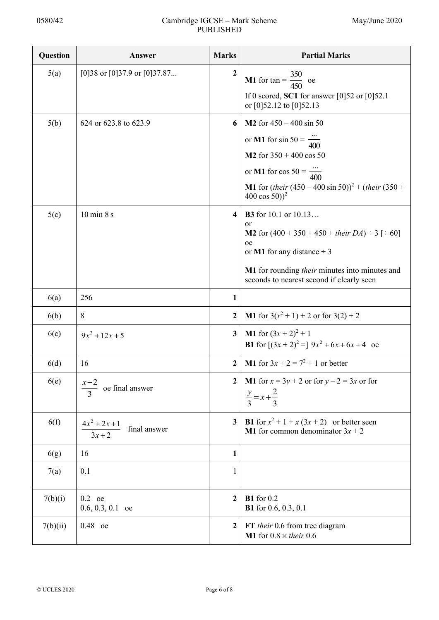| Question | Answer                                      | <b>Marks</b>            | <b>Partial Marks</b>                                                                                                                                                                                                                               |
|----------|---------------------------------------------|-------------------------|----------------------------------------------------------------------------------------------------------------------------------------------------------------------------------------------------------------------------------------------------|
| 5(a)     | [0] 38 or [0] 37.9 or [0] 37.87             | $\boldsymbol{2}$        | <b>M1</b> for $tan = \frac{350}{450}$ oe<br>If 0 scored, SC1 for answer [0]52 or [0]52.1<br>or [0]52.12 to [0]52.13                                                                                                                                |
| 5(b)     | 624 or 623.8 to 623.9                       | 6                       | M2 for $450 - 400 \sin 50$<br>or <b>M1</b> for $\sin 50 = \frac{}{400}$<br>M2 for $350 + 400 \cos 50$<br>or <b>M1</b> for $\cos 50 = \frac{}{400}$<br><b>M1</b> for $(heir (450 – 400 \sin 50))^2 + (their (350 +$<br>400 cos 50)) <sup>2</sup>    |
| 5(c)     | $10 \text{ min } 8 \text{ s}$               | $\overline{\mathbf{4}}$ | <b>B3</b> for 10.1 or 10.13<br><sub>or</sub><br><b>M2</b> for $(400 + 350 + 450 +$ their $DA$ ) ÷ 3 [÷ 60]<br>oe<br>or M1 for any distance $\div$ 3<br>M1 for rounding their minutes into minutes and<br>seconds to nearest second if clearly seen |
| 6(a)     | 256                                         | $\mathbf{1}$            |                                                                                                                                                                                                                                                    |
| 6(b)     | 8                                           | $\overline{2}$          | <b>M1</b> for $3(x^2 + 1) + 2$ or for $3(2) + 2$                                                                                                                                                                                                   |
| 6(c)     | $9x^2 + 12x + 5$                            | $\overline{\mathbf{3}}$ | <b>M1</b> for $(3x + 2)^2 + 1$<br><b>B1</b> for $[(3x + 2)^2] = 9x^2 + 6x + 6x + 4$ oe                                                                                                                                                             |
| 6(d)     | 16                                          | $\overline{2}$          | <b>M1</b> for $3x + 2 = 7^2 + 1$ or better                                                                                                                                                                                                         |
| 6(e)     | oe final answer                             | $\overline{2}$          | <b>M1</b> for $x = 3y + 2$ or for $y - 2 = 3x$ or for<br>$\frac{y}{3} = x + \frac{2}{3}$                                                                                                                                                           |
| 6(f)     | $4x^2 + 2x + 1$<br>final answer<br>$3x + 2$ | 3 <sup>1</sup>          | <b>B1</b> for $x^2 + 1 + x(3x + 2)$ or better seen<br><b>M1</b> for common denominator $3x + 2$                                                                                                                                                    |
| 6(g)     | 16                                          | 1                       |                                                                                                                                                                                                                                                    |
| 7(a)     | 0.1                                         | 1                       |                                                                                                                                                                                                                                                    |
| 7(b)(i)  | $0.2$ oe<br>$0.6, 0.3, 0.1$ oe              | $\mathbf{2}$            | <b>B1</b> for 0.2<br><b>B1</b> for 0.6, 0.3, 0.1                                                                                                                                                                                                   |
| 7(b)(ii) | 0.48 oe                                     | $\mathbf{2}$            | FT their 0.6 from tree diagram<br>M1 for $0.8 \times$ their 0.6                                                                                                                                                                                    |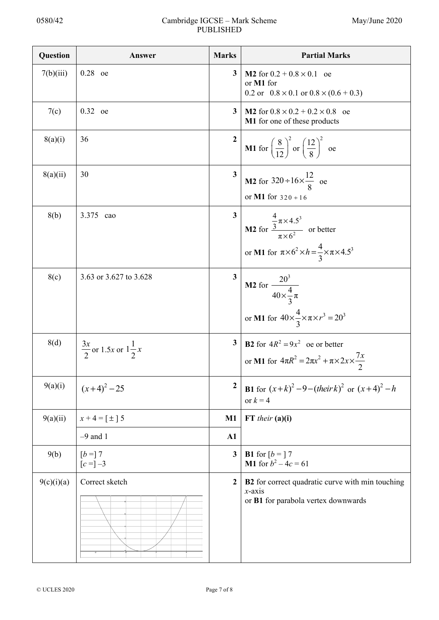| Question   | Answer                                    | <b>Marks</b>     | <b>Partial Marks</b>                                                                                                                                             |
|------------|-------------------------------------------|------------------|------------------------------------------------------------------------------------------------------------------------------------------------------------------|
| 7(b)(iii)  | $0.28$ oe                                 | $\mathbf{3}$     | <b>M2</b> for $0.2 + 0.8 \times 0.1$ oe<br>or M1 for<br>0.2 or $0.8 \times 0.1$ or $0.8 \times (0.6 + 0.3)$                                                      |
| 7(c)       | 0.32 oe                                   | $\mathbf{3}$     | <b>M2</b> for $0.8 \times 0.2 + 0.2 \times 0.8$ oe<br>M1 for one of these products                                                                               |
| 8(a)(i)    | 36                                        | $\boldsymbol{2}$ | <b>M1</b> for $\left(\frac{8}{12}\right)^2$ or $\left(\frac{12}{8}\right)^2$ oe                                                                                  |
| 8(a)(ii)   | 30                                        | $\mathbf{3}$     | <b>M2</b> for $320 \div 16 \times \frac{12}{8}$ oe<br>or M1 for $320 \div 16$                                                                                    |
| 8(b)       | 3.375 cao                                 | 3 <sup>1</sup>   | <b>M2</b> for $\frac{\frac{4}{3}\pi \times 4.5^3}{\pi \times 6^2}$ or better<br>or <b>M1</b> for $\pi \times 6^2 \times h = \frac{4}{3} \times \pi \times 4.5^3$ |
| 8(c)       | 3.63 or 3.627 to 3.628                    | $\mathbf{3}$     | <b>M2</b> for $\frac{20^3}{40 \times \frac{4}{3} \pi}$<br>or <b>M1</b> for $40 \times \frac{4}{3} \times \pi \times r^3 = 20^3$                                  |
| 8(d)       | $\frac{3x}{2}$ or 1.5x or $1\frac{1}{2}x$ | $\mathbf{3}$     | <b>B2</b> for $4R^2 = 9x^2$ oe or better<br>or M1 for $4\pi R^2 = 2\pi x^2 + \pi \times 2x \times \frac{7x}{2}$                                                  |
| 9(a)(i)    | $(x+4)^2-25$                              | $\mathbf{2}$     | <b>B1</b> for $(x+k)^2-9-(their k)^2$ or $(x+4)^2-h$<br>or $k = 4$                                                                                               |
| 9(a)(ii)   | $x+4=\lceil \pm \rceil 5$                 | $\mathbf{M}1$    | $FT$ their $(a)(i)$                                                                                                                                              |
|            | $-9$ and 1                                | $\mathbf{A1}$    |                                                                                                                                                                  |
| 9(b)       | $[b =] 7$<br>$[c = ] -3$                  | $\mathbf{3}$     | <b>B1</b> for $[b = 7$<br><b>M1</b> for $b^2 - 4c = 61$                                                                                                          |
| 9(c)(i)(a) | Correct sketch                            | $\boldsymbol{2}$ | B2 for correct quadratic curve with min touching<br>$x$ -axis<br>or B1 for parabola vertex downwards                                                             |